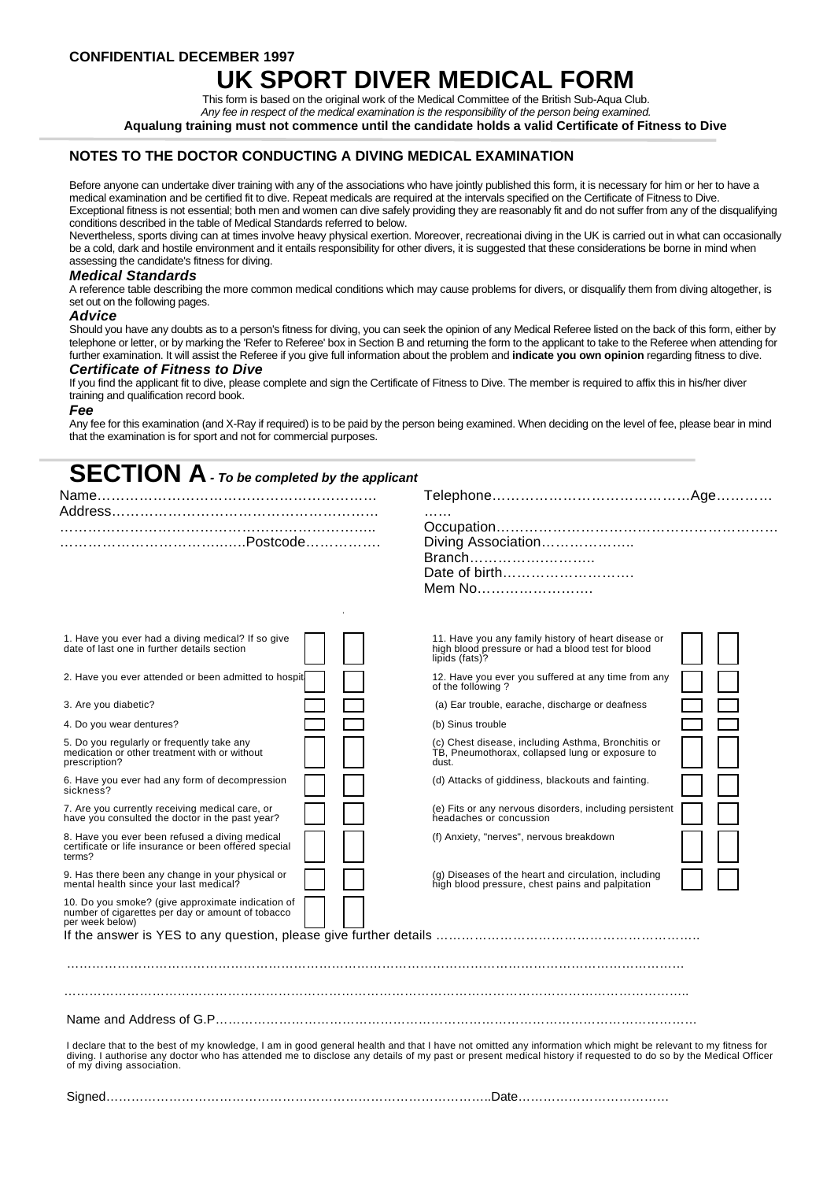**CONFIDENTIAL DECEMBER 1997**

# **UK SPORT DIVER MEDICAL FOR**

This form is based on the original work of the Medical Committee of the British Sub-Aqua Club. *Any fee in respect of the medical examination is the responsibility of the person being examined.* **Aqualung training must not commence until the candidate holds a valid Certificate of Fitness to Dive**

## **NOTES TO THE DOCTOR CONDUCTING A DIVING MEDICAL EXAMINATION**

Before anyone can undertake diver training with any of the associations who have jointly published this form, it is necessary for him or her to have a medical examination and be certified fit to dive. Repeat medicals are required at the intervals specified on the Certificate of Fitness to Dive. Exceptional fitness is not essential; both men and women can dive safely providing they are reasonably fit and do not suffer from any of the disqualifying conditions described in the table of Medical Standards referred to below.

Nevertheless, sports diving can at times involve heavy physical exertion. Moreover, recreationai diving in the UK is carried out in what can occasionally be a cold, dark and hostile environment and it entails responsibility for other divers, it is suggested that these considerations be borne in mind when assessing the candidate's fitness for diving.

## *Medical Standards*

A reference table describing the more common medical conditions which may cause problems for divers, or disqualify them from diving altogether, is set out on the following pages.

## *Advice*

Should you have any doubts as to a person's fitness for diving, you can seek the opinion of any Medical Referee listed on the back of this form, either by telephone or letter, or by marking the 'Refer to Referee' box in Section B and returning the form to the applicant to take to the Referee when attending for further examination. It will assist the Referee if you give full information about the problem and **indicate you own opinion** regarding fitness to dive.

### *Certificate of Fitness to Dive*

If you find the applicant fit to dive, please complete and sign the Certificate of Fitness to Dive. The member is required to affix this in his/her diver training and qualification record book.

## *Fee*

Any fee for this examination (and X-Ray if required) is to be paid by the person being examined. When deciding on the level of fee, please bear in mind that the examination is for sport and not for commercial purposes.

| <b>SECTION A</b> - To be completed by the applicant                                                               |                                                                                                                            |
|-------------------------------------------------------------------------------------------------------------------|----------------------------------------------------------------------------------------------------------------------------|
|                                                                                                                   | .                                                                                                                          |
|                                                                                                                   | Diving Association<br>Branch<br>Date of birth<br>Mem No                                                                    |
| 1. Have you ever had a diving medical? If so give<br>date of last one in further details section                  | 11. Have you any family history of heart disease or<br>high blood pressure or had a blood test for blood<br>lipids (fats)? |
| 2. Have you ever attended or been admitted to hospit                                                              | 12. Have you ever you suffered at any time from any<br>of the following?                                                   |
| 3. Are you diabetic?                                                                                              | (a) Ear trouble, earache, discharge or deafness                                                                            |
| 4. Do you wear dentures?                                                                                          | (b) Sinus trouble                                                                                                          |
| 5. Do you regularly or frequently take any<br>medication or other treatment with or without<br>prescription?      | (c) Chest disease, including Asthma, Bronchitis or<br>TB, Pneumothorax, collapsed lung or exposure to<br>dust.             |
| 6. Have you ever had any form of decompression<br>sickness?                                                       | (d) Attacks of giddiness, blackouts and fainting.                                                                          |
| 7. Are you currently receiving medical care, or<br>have you consulted the doctor in the past year?                | (e) Fits or any nervous disorders, including persistent<br>headaches or concussion                                         |
| 8. Have you ever been refused a diving medical<br>certificate or life insurance or been offered special<br>terms? | (f) Anxiety, "nerves", nervous breakdown                                                                                   |

9. Has there been any change in your physical or mental health since your last medical?

10. Do you smoke? (give approximate indication of number of cigarettes per day or amount of tobacco per week below)

If the answer is YES to any question, please give further details ……………………………………………………

…………………………………………………………………………………………………………………………………

# …………………………………………………………………………………………………………………………………..

Name and Address of G.P……………………………………………………………………………………………………

I declare that to the best of my knowledge, I am in good general health and that I have not omitted any information which might be relevant to my fitness for<br>diving. I authorise any doctor who has attended me to disclose a

(g) Diseases of the heart and circulation, including high blood pressure, chest pains and palpitation

Signed………………………………………………………………………………..Date………………………………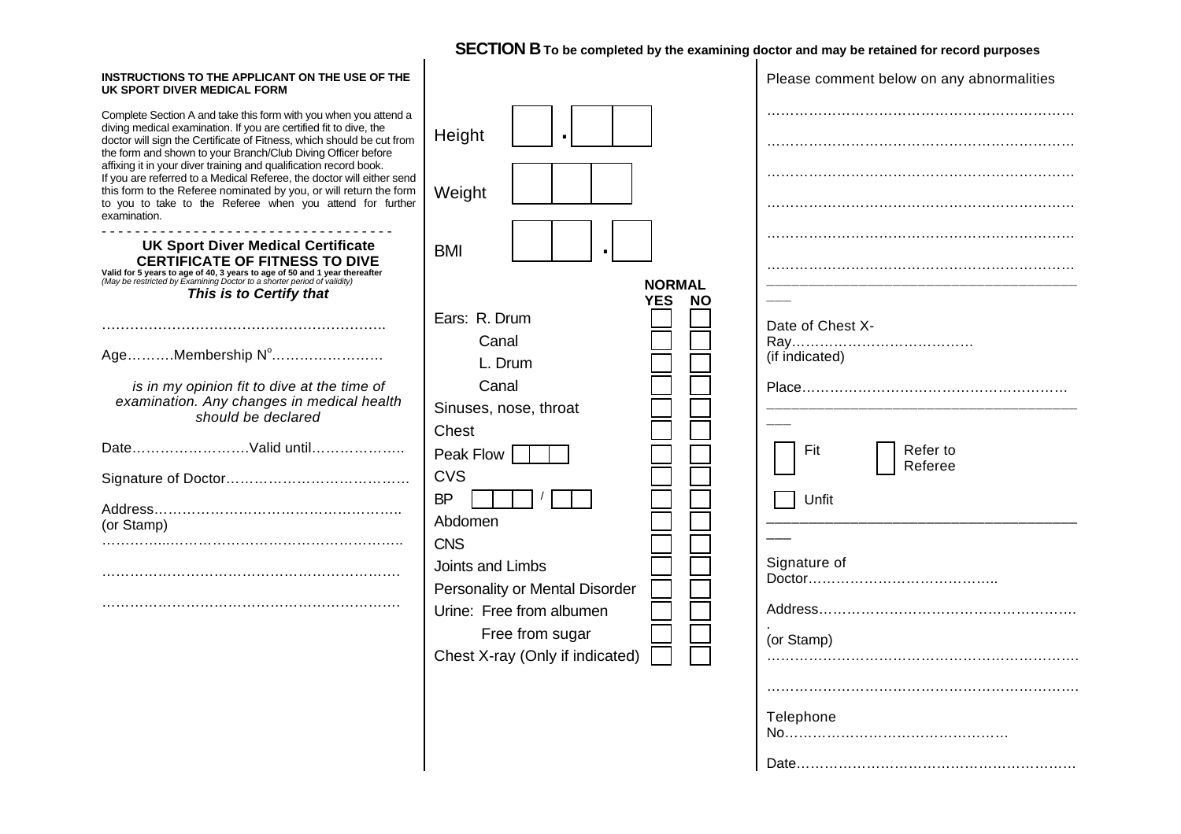# **SECTION B** To be completed by the examining doctor and may be retained for record purposes<br>|

| INSTRUCTIONS TO THE APPLICANT ON THE USE OF THE<br>UK SPORT DIVER MEDICAL FORM                                                                                                                                                                                                                                                                      |                                                                               | Please comment below on any abnormalities |
|-----------------------------------------------------------------------------------------------------------------------------------------------------------------------------------------------------------------------------------------------------------------------------------------------------------------------------------------------------|-------------------------------------------------------------------------------|-------------------------------------------|
| Complete Section A and take this form with you when you attend a<br>diving medical examination. If you are certified fit to dive, the<br>doctor will sign the Certificate of Fitness, which should be cut from<br>the form and shown to your Branch/Club Diving Officer before<br>affixing it in your diver training and qualification record book. | Height                                                                        |                                           |
| If you are referred to a Medical Referee, the doctor will either send<br>this form to the Referee nominated by you, or will return the form<br>to you to take to the Referee when you attend for further<br>examination.                                                                                                                            | Weight                                                                        |                                           |
| <b>UK Sport Diver Medical Certificate</b><br><b>CERTIFICATE OF FITNESS TO DIVE</b><br>Valid for 5 years to age of 40, 3 years to age of 50 and 1 year thereafter<br>(May be restricted by Examining Doctor to a shorter period of validity)                                                                                                         | <b>BMI</b><br>NORMAL                                                          |                                           |
| This is to Certify that                                                                                                                                                                                                                                                                                                                             | <b>YES</b><br><b>NO</b><br>Ears: R. Drum                                      |                                           |
| AgeMembership N°                                                                                                                                                                                                                                                                                                                                    | Canal<br>L. Drum                                                              | Date of Chest X-<br>(if indicated)        |
| is in my opinion fit to dive at the time of<br>examination. Any changes in medical health<br>should be declared                                                                                                                                                                                                                                     | Canal<br>Sinuses, nose, throat<br>Chest                                       |                                           |
| DateValid until                                                                                                                                                                                                                                                                                                                                     | Peak Flow<br><b>CVS</b>                                                       | Refer to<br>Fit<br>Referee                |
| (or Stamp)                                                                                                                                                                                                                                                                                                                                          | <b>BP</b><br>Abdomen                                                          | Unfit                                     |
|                                                                                                                                                                                                                                                                                                                                                     | <b>CNS</b><br>Joints and Limbs                                                | Signature of                              |
|                                                                                                                                                                                                                                                                                                                                                     | Personality or Mental Disorder<br>Urine: Free from albumen<br>Free from sugar |                                           |
|                                                                                                                                                                                                                                                                                                                                                     | Chest X-ray (Only if indicated)                                               | (or Stamp)                                |
|                                                                                                                                                                                                                                                                                                                                                     |                                                                               | Telephone                                 |
|                                                                                                                                                                                                                                                                                                                                                     |                                                                               |                                           |
|                                                                                                                                                                                                                                                                                                                                                     |                                                                               |                                           |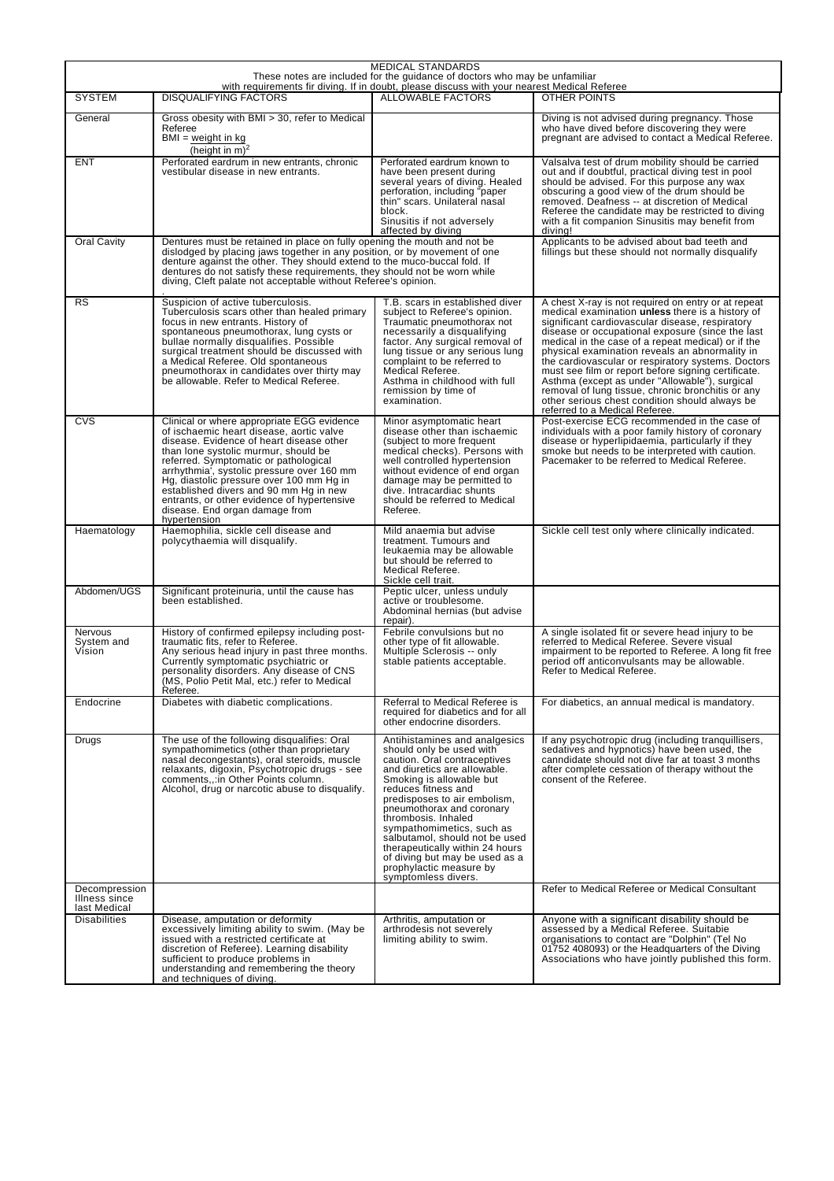| <b>MEDICAL STANDARDS</b><br>These notes are included for the guidance of doctors who may be unfamiliar<br>with requirements fir diving. If in doubt, please discuss with your nearest Medical Referee |                                                                                                                                                                                                                                                                                                                                                                                                                                                          |                                                                                                                                                                                                                                                                                                                                                                                                                                                        |                                                                                                                                                                                                                                                                                                                                                                                                                                                                                                                                                                                                                                |  |
|-------------------------------------------------------------------------------------------------------------------------------------------------------------------------------------------------------|----------------------------------------------------------------------------------------------------------------------------------------------------------------------------------------------------------------------------------------------------------------------------------------------------------------------------------------------------------------------------------------------------------------------------------------------------------|--------------------------------------------------------------------------------------------------------------------------------------------------------------------------------------------------------------------------------------------------------------------------------------------------------------------------------------------------------------------------------------------------------------------------------------------------------|--------------------------------------------------------------------------------------------------------------------------------------------------------------------------------------------------------------------------------------------------------------------------------------------------------------------------------------------------------------------------------------------------------------------------------------------------------------------------------------------------------------------------------------------------------------------------------------------------------------------------------|--|
| <b>SYSTEM</b>                                                                                                                                                                                         | <b>DISQUALIFYING FACTORS</b>                                                                                                                                                                                                                                                                                                                                                                                                                             | <b>ALLOWABLE FACTORS</b>                                                                                                                                                                                                                                                                                                                                                                                                                               | OTHER POINTS                                                                                                                                                                                                                                                                                                                                                                                                                                                                                                                                                                                                                   |  |
| General                                                                                                                                                                                               | Gross obesity with BMI > 30, refer to Medical<br>Referee<br>$BMI = weight in kg$<br>(height in $m$ ) <sup>2</sup>                                                                                                                                                                                                                                                                                                                                        |                                                                                                                                                                                                                                                                                                                                                                                                                                                        | Diving is not advised during pregnancy. Those<br>who have dived before discovering they were<br>pregnant are advised to contact a Medical Referee.                                                                                                                                                                                                                                                                                                                                                                                                                                                                             |  |
| ENT                                                                                                                                                                                                   | Perforated eardrum in new entrants, chronic<br>vestibular disease in new entrants.                                                                                                                                                                                                                                                                                                                                                                       | Perforated eardrum known to<br>have been present during<br>several years of diving. Healed<br>perforation, including "paper<br>thin" scars. Unilateral nasal<br>block.<br>Sinusitis if not adversely<br>affected by diving                                                                                                                                                                                                                             | Valsalva test of drum mobility should be carried<br>out and if doubtful, practical diving test in pool<br>should be advised. For this purpose any wax<br>obscuring a good view of the drum should be<br>removed. Deafness -- at discretion of Medical<br>Referee the candidate may be restricted to diving<br>with a fit companion Sinusitis may benefit from<br>diving!                                                                                                                                                                                                                                                       |  |
| <b>Oral Cavity</b>                                                                                                                                                                                    | Dentures must be retained in place on fully opening the mouth and not be<br>dislodged by placing jaws together in any position, or by movement of one<br>denture against the other. They should extend to the muco-buccal fold. If<br>dentures do not satisfy these requirements, they should not be worn while<br>diving, Cleft palate not acceptable without Referee's opinion.                                                                        |                                                                                                                                                                                                                                                                                                                                                                                                                                                        | Applicants to be advised about bad teeth and<br>fillings but these should not normally disqualify                                                                                                                                                                                                                                                                                                                                                                                                                                                                                                                              |  |
| RS                                                                                                                                                                                                    | Suspicion of active tuberculosis.<br>Tuberculosis scars other than healed primary<br>focus in new entrants. History of<br>spontaneous pneumothorax, lung cysts or<br>bullae normally disqualifies. Possible<br>surgical treatment should be discussed with<br>a Medical Referee. Old spontaneous<br>pneumothorax in candidates over thirty may<br>be allowable. Refer to Medical Referee.                                                                | T.B. scars in established diver<br>subject to Referee's opinion.<br>Traumatic pneumothorax not<br>necessarily a disqualifying<br>factor. Any surgical removal of<br>lung tissue or any serious lung<br>complaint to be referred to<br>Medical Referee.<br>Asthma in childhood with full<br>remission by time of<br>examination.                                                                                                                        | A chest X-ray is not required on entry or at repeat<br>medical examination unless there is a history of<br>significant cardiovascular disease, respiratory<br>disease or occupational exposure (since the last<br>medical in the case of a repeat medical) or if the<br>physical examination reveals an abnormality in<br>the cardiovascular or respiratory systems. Doctors<br>must see film or report before signing certificate.<br>Asthma (except as under "Allowable"), surgical<br>removal of lung tissue, chronic bronchitis or any<br>other serious chest condition should always be<br>referred to a Medical Referee. |  |
| <b>CVS</b>                                                                                                                                                                                            | Clinical or where appropriate EGG evidence<br>of ischaemic heart disease, aortic valve<br>disease. Evidence of heart disease other<br>than lone systolic murmur, should be<br>referred. Symptomatic or pathological<br>arrhythmia', systolic pressure over 160 mm<br>Hg, diastolic pressure over 100 mm Hg in<br>established divers and 90 mm Hg in new<br>entrants, or other evidence of hypertensive<br>disease. End organ damage from<br>hypertension | Minor asymptomatic heart<br>disease other than ischaemic<br>(subject to more frequent<br>medical checks). Persons with<br>well controlled hypertension<br>without evidence of end organ<br>damage may be permitted to<br>dive. Intracardiac shunts<br>should be referred to Medical<br>Referee.                                                                                                                                                        | Post-exercise ECG recommended in the case of<br>individuals with a poor family history of coronary<br>disease or hyperlipidaemia, particularly if they<br>smoke but needs to be interpreted with caution.<br>Pacemaker to be referred to Medical Referee.                                                                                                                                                                                                                                                                                                                                                                      |  |
| Haematology                                                                                                                                                                                           | Haemophilia, sickle cell disease and<br>polycythaemia will disqualify.                                                                                                                                                                                                                                                                                                                                                                                   | Mild anaemia but advise<br>treatment. Tumours and<br>leukaemia may be allowable<br>but should be referred to<br>Medical Referee.<br>Sickle cell trait.                                                                                                                                                                                                                                                                                                 | Sickle cell test only where clinically indicated.                                                                                                                                                                                                                                                                                                                                                                                                                                                                                                                                                                              |  |
| Abdomen/UGS                                                                                                                                                                                           | Significant proteinuria, until the cause has<br>been established.                                                                                                                                                                                                                                                                                                                                                                                        | Peptic ulcer, unless unduly<br>active or troublesome.<br>Abdominal hernias (but advise<br>repair).                                                                                                                                                                                                                                                                                                                                                     |                                                                                                                                                                                                                                                                                                                                                                                                                                                                                                                                                                                                                                |  |
| <b>Nervous</b><br>System and<br>Vision                                                                                                                                                                | History of confirmed epilepsy including post-<br>traumatic fits, refer to Referee.<br>Any serious head injury in past three months.<br>Currently symptomatic psychiatric or<br>personality disorders. Any disease of CNS<br>(MS, Polio Petit Mal, etc.) refer to Medical<br>Referee.                                                                                                                                                                     | Febrile convulsions but no<br>other type of fit allowable.<br>Multiple Sclerosis -- only<br>stable patients acceptable.                                                                                                                                                                                                                                                                                                                                | A single isolated fit or severe head injury to be<br>referred to Medical Referee. Severe visual<br>impairment to be reported to Referee. A long fit free<br>period off anticonvulsants may be allowable.<br>Refer to Medical Referee.                                                                                                                                                                                                                                                                                                                                                                                          |  |
| Endocrine                                                                                                                                                                                             | Diabetes with diabetic complications.                                                                                                                                                                                                                                                                                                                                                                                                                    | Referral to Medical Referee is<br>required for diabetics and for all<br>other endocrine disorders.                                                                                                                                                                                                                                                                                                                                                     | For diabetics, an annual medical is mandatory.                                                                                                                                                                                                                                                                                                                                                                                                                                                                                                                                                                                 |  |
| Drugs                                                                                                                                                                                                 | The use of the following disqualifies: Oral<br>sympathomimetics (other than proprietary<br>nasal decongestants), oral steroids, muscle<br>relaxants, digoxin, Psychotropic drugs - see<br>comments, .: in Other Points column.<br>Alcohol, drug or narcotic abuse to disqualify.                                                                                                                                                                         | Antihistamines and analgesics<br>should only be used with<br>caution. Oral contraceptives<br>and diuretics are allowable.<br>Smoking is allowable but<br>reduces fitness and<br>predisposes to air embolism,<br>pneumothorax and coronary<br>thrombosis. Inhaled<br>sympathomimetics, such as<br>salbutamol, should not be used<br>therapeutically within 24 hours<br>of diving but may be used as a<br>prophylactic measure by<br>symptomless divers. | If any psychotropic drug (including tranquillisers,<br>sedatives and hypnotics) have been used, the<br>canndidate should not dive far at toast 3 months<br>after complete cessation of therapy without the<br>consent of the Referee.                                                                                                                                                                                                                                                                                                                                                                                          |  |
| Decompression<br>Illness since<br>last Medical                                                                                                                                                        |                                                                                                                                                                                                                                                                                                                                                                                                                                                          |                                                                                                                                                                                                                                                                                                                                                                                                                                                        | Refer to Medical Referee or Medical Consultant                                                                                                                                                                                                                                                                                                                                                                                                                                                                                                                                                                                 |  |
| Disabilities                                                                                                                                                                                          | Disease, amputation or deformity<br>excessively limiting ability to swim. (May be<br>issued with a restricted certificate at<br>discretion of Referee). Learning disability<br>sufficient to produce problems in<br>understanding and remembering the theory<br>and techniques of diving.                                                                                                                                                                | Arthritis, amputation or<br>arthrodesis not severely<br>limiting ability to swim.                                                                                                                                                                                                                                                                                                                                                                      | Anyone with a significant disability should be<br>assessed by a Medical Referee. Suitabie<br>organisations to contact are "Dolphin" (Tel No<br>01752 408093) or the Headquarters of the Diving<br>Associations who have jointly published this form.                                                                                                                                                                                                                                                                                                                                                                           |  |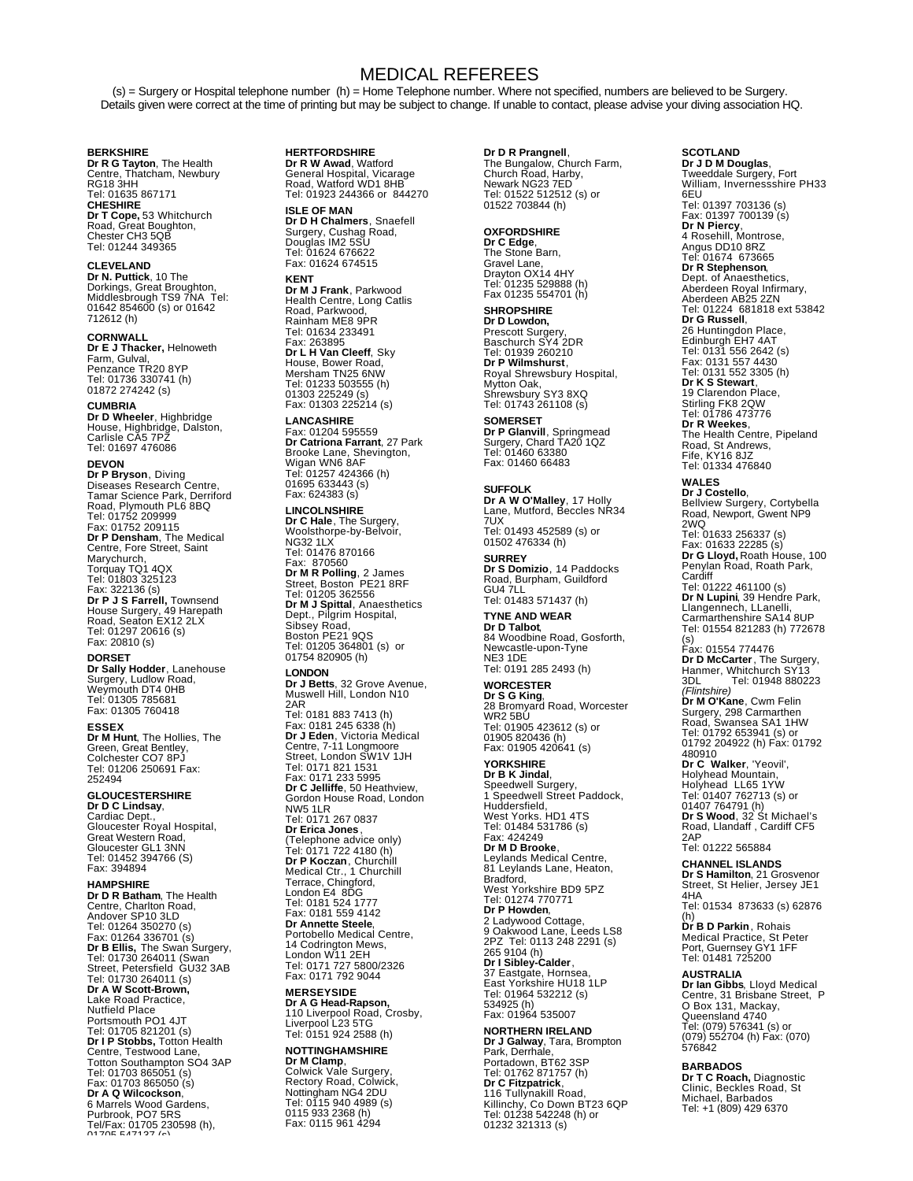## MEDICAL REFEREES

(s) = Surgery or Hospital telephone number (h) = Home Telephone number. Where not specified, numbers are believed to be Surgery. Details given were correct at the time of printing but may be subject to change. If unable to contact, please advise your diving association HQ.

**BERKSHIRE<br><b>Dr R G Tayton**, The Health<br>Centre, Thatcham, Newbury<br>RG18 3HH<br>Tel: 01635 867171 **CHESHIRE Dr T Cope,** 53 Whitchurch Road, Great Boughton, Chester CH3 5QB Tel: 01244 349365

#### **CLEVELAND**

**Dr N. Puttick**, 10 The Dorkings, Great Broughton, Middlesbrough TS9 7NA Tel: 01642 854600 (s) or 01642 712612 (h)

**CORNWALL<br><b>Dr E J Thacker,** Helnoweth<br>Farm, Gulval,<br>Penzance TR20 8YP<br>Tel: 01736 330741 (h)<br>01872 274242 (s)

**CUMBRIA Dr D Wheeler**, Highbridge House, Highbridge, Dalston, Carlisle CA5 7PZ Tel: 01697 476086

**DEVON Dr P Bryson**, Diving Diseases Research Centre, Tamar Science Park, Derriford Road, Plymouth PL6 8BQ Tel: 01752 209999 Fax: 01752 209115 **Dr P Densham**, The Medical Centre, Fore Street, Saint Marychurch, Torquay TQ1 4QX Tel: 01803 325123 Fax: 322136 (s)<br>**Dr P J S Farrell,** Townsend<br>House Surgery, 49 Harepath<br>Road, Seaton EX12 2LX<br>Tel: 01297 20616 (s)<br>Fax: 20810 (s)

#### **DORSET**

**Dr Sally Hodder**, Lanehouse Surgery, Ludlow Road, Weymouth DT4 0HB Tel: 01305 785681 Fax: 01305 760418

**ESSEX Dr M Hunt**, The Hollies, The Green, Great Bentley, Colchester CO7 8PJ Tel: 01206 250691 Fax: 252494

### **GLOUCESTERSHIRE**

**Dr D C Lindsay**,<br>Cardiac Dept.,<br>Gloucester Royal Hospital,<br>Great Western Road,<br>Gloucester GL1 3NN Tel: 01452 394766 (S) Fax: 394894

**HAMPSHIRE Dr D R Batham**, The Health Centre, Charlton Road, Andover SP10 3LD<br>Tel: 01264 350270 (s)<br>Fax: 01264 336701 (s)<br>**Dr B Ellis,** The Swan Surgery,<br>Tel: 01730 264011 (Swan<br>Street, Petersfield GU32 3AB Tel: 01730 264011 (s) **Dr A W Scott-Brown,** Lake Road Practice, Nutfield Place Portsmouth PO1 4JT Tel: 01705 821201 (s) **Dr I P Stobbs,** Totton Health<br>Centre, Testwood Lane,<br>Totton Southampton SO4 3AP<br>Tel: 01703 865051 (s)<br>Fax: 01703 865050 (s) **Dr A Q Wilcockson**, 6 Marrels Wood Gardens,<br>Purbrook, PO7 5RS<br>Tel/Fax: 01705 230598 (h),<br>01705 547127 (s)

**HERTFORDSHIRE Dr R W Awad**, Watford General Hospital, Vicarage Road, Watford WD1 8HB Tel: 01923 244366 or 844270

**ISLE OF MAN Dr D H Chalmers**, Snaefell Surgery, Cushag Road, Douglas IM2 5SU Tel: 01624 676622 Fax: 01624 674515

**KENT Dr M J Frank**, Parkwood Health Centre, Long Catlis Road, Parkwood, Rainham ME8 9PR Tel: 01634 233491 Fax: 263895 **Dr L H Van Cleeff**, Sky House, Bower Road, Mersham TN25 6NW Tel: 01233 503555 (h) 01303 225249 (s) Fax: 01303 225214 (s)

**LANCASHIRE** Fax: 01204 595559 **Dr Catriona Farrant**, 27 Park Brooke Lane, Shevington, Wigan WN6 8AF Tel: 01257 424366 (h) 01695 633443 (s) Fax: 624383 (s)

**LINCOLNSHIRE Dr C Hale**, The Surgery, Woolsthorpe-by-Belvoir, NG32 1LX Tel: 01476 870166 Fax: 870560 **Dr M R Polling**, 2 James Street, Boston PE21 8RF Tel: 01205 362556 **Dr M J Spittal**, Anaesthetics<br>Dept., Pilgrim Hospital,<br>Sibsey Road,<br>Boston PE21 9QS<br>Tel: 01205 364801 (s) or 01754 820905 (h) **LONDON Dr J Betts**, 32 Grove Avenue, Muswell Hill, London N10 2AR<br>Tel: 0181 883 7413 (h)<br>Fax: 0181 245 6338 (h)<br>**Dr J Eden**, Victoria Medical<br>Centre, 7-11 Longmore<br>Street, London SW1V 1JH<br>Tel: 0171 821 1531<br>**Tax: 0171 233 5995**<br>**Dr C Jelliffe**, 50 Heathview,<br>**Grodon House Road, Londo** NW5 1LR Tel: 0171 267 0837 **Dr Erica Jones** , (Telephone advice only)<br>**Tel:** 0171 722 4180 (h)<br>**Dr P Koczan**, Churchill<br>Medical Ctr., 1 Churchill<br>Terrace, Chingford,<br>London E4 8DG<br>Tel: 0181 524 1777<br>Fax: 0181 559 4142 **Dr Annette Steele**, Portobello Medical Centre, 14 Codrington Mews, London W11 2EH Tel: 0171 727 5800/2326 Fax: 0171 792 9044 **MERSEYSIDE**

**Dr A G Head-Rapson,** 110 Liverpool Road, Crosby, Liverpool L23 5TG Tel: 0151 924 2588 (h)

## **NOTTINGHAMSHIRE Dr M Clamp**, Colwick Vale Surgery,

Rectory Road, Colwick, Nottingham NG4 2DU Tel: 0115 940 4989 (s) 0115 933 2368 (h) Fax: 0115 961 4294

**Dr D R Prangnell**,<br>The Bungalow, Church Farm,<br>Church Road, Harby,<br>Newark NG23 7ED<br>Tel: 01522 512512 (s) or 01522 703844 (h)

**OXFORDSHIRE Dr C Edge**, The Stone Barn, Gravel Lane, Drayton OX14 4HY Tel: 01235 529888 (h) Fax 01235 554701 (h)

## **SHROPSHIRE**

**Dr D Lowdon,** Prescott Surgery, Baschurch SY4 2DR Tel: 01939 260210 **Dr P Wilmshurst**, Royal Shrewsbury Hospital, Mytton Oak, Shrewsbury SY3 8XQ Tel: 01743 261108 (s)

**SOMERSET Dr P Glanvill**, Springmead Surgery, Chard TA20 1QZ Tel: 01460 63380 Fax: 01460 66483

**SUFFOLK Dr A W O'Malley**, 17 Holly Lane, Mutford, Beccles NR34 7UX Tel: 01493 452589 (s) or 01502 476334 (h) **SURREY Dr S Domizio**, 14 Paddocks Road, Burpham, Guildford

GU4 7LL Tel: 01483 571437 (h)

**TYNE AND WEAR Dr D Talbot**, 84 Woodbine Road, Gosforth, Newcastle-upon-Tyne NE3 1DE Tel: 0191 285 2493 (h)

**WORCESTER Dr S G King**, 28 Bromyard Road, Worcester WR2 5BU Tel: 01905 423612 (s) or 01905 820436 (h) Fax: 01905 420641 (s)

**YORKSHIRE Dr B K Jindal**,<br>Speedwell Surgery,<br>1 Speedwell Street Paddock, Huddersfield, West Yorks. HD1 4TS Tel: 01484 531786 (s) Fax: 424249 **Dr M D Brooke**, Leylands Medical Centre, 81 Leylands Lane, Heaton, Bradford, West Yorkshire BD9 5PZ Tel: 01274 770771 **Dr P Howden**, 2 Ladywood Cottage, 9 Oakwood Lane, Leeds LS8 2PZ Tel: 0113 248 2291 (s) 265 9104 (h)<br>**Dr I Sibley-Calder**,<br>37 Eastgate, Hornsea, East Yorkshire HU18 1LP Tel: 01964 532212 (s) 534925 (h) Fax: 01964 535007

**NORTHERN IRELAND Dr J Galway**, Tara, Brompton<br>Park, Derrhale,<br>Portadown, BT62 3SP Tel: 01762 871757 (h) **Dr C Fitzpatrick**, 116 Tullynakill Road, Killinchy, Co Down BT23 6QP Tel: 01238 542248 (h) or 01232 321313 (s)

## **SCOTLAND Dr J D M Douglas**,

Tweeddale Surgery, Fort William, Invernessshire PH33 6EU<br>Tel: 01397 703136 (s)<br>Fax: 01397 700139 (s)<br>**Dr N Piercy,**<br>4 Rosehill, Montrose,<br>Angus DD10 8RZ<br>Tel: 01674 673665 **Dr R Stephenson**, Dept. of Anaesthetics, Aberdeen Royal Infirmary, Aberdeen AB25 2ZN Tel: 01224 681818 ext 53842 **Dr G Russell**, 26 Huntingdon Place, Edinburgh EH7 4AT Tel: 0131 556 2642 (s) Fax: 0131 557 4430 Tel: 0131 552 3305 (h) **Dr K S Stewart**, 19 Clarendon Place, Stirling FK8 2QW Tel: 01786 473776 **Dr R Weekes**, The Health Centre, Pipeland Road, St Andrews, Fife, KY16 8JZ Tel: 01334 476840

**WALES**

**Dr J Costello**, Bellview Surgery, Cortybella Road, Newport, Gwent NP9 2WQ Tel: 01633 256337 (s) Fax: 01633 22285 (s) **Dr G Lloyd,** Roath House, 100 Penylan Road, Roath Park, Cardiff<br>Tel: 01222 461100 (s)<br>**Dr N Lupini**, 39 Hendre Park,<br>Llangennech, LLanelli,<br>Carmarthenshire SA14 8UP<br>Tel: 01554 821283 (h) 772678 (s)<br>Fax: 01554 774476<br>**Dr D McCarter** , The Surgery,<br>Hanmer, Whitchurch SY13<br>3DL Tel: 01948 880223 *(Flintshire)*<br>**Dr M O'Kane**, Cwm Felin<br>Surgery, 298 Carmarthen<br>Road, Swansea SA1 1HW<br>Tel: 01792 653941 (s) or 01792 204922 (h) Fax: 01792 480910 **Dr C Walker**, 'Yeovil', Holyhead Mountain, Holyhead LL65 1YW Tel: 01407 762713 (s) or 01407 764791 (h) **Dr S Wood**, 32 St Michael's

Road, Llandaff , Cardiff CF5 2AP Tel: 01222 565884

**CHANNEL ISLANDS Dr S Hamilton**, 21 Grosvenor Street, St Helier, Jersey JE1 4HA Tel: 01534 873633 (s) 62876

(h)<br>**Dr B D Parkin** , Rohais<br>Medical Practice, St Peter<br>Port, Guernsey GY1 1FF<br>Tel: 01481 725200

**AUSTRALIA Dr Ian Gibbs**, Lloyd Medical Centre, 31 Brisbane Street, P O Box 131, Mackay, Queensland 4740 Tel: (079) 576341 (s) or (079) 552704 (h) Fax: (070) 576842

#### **BARBADOS**

**Dr T C Roach,** Diagnostic Clinic, Beckles Road, St Michael, Barbados Tel: +1 (809) 429 6370